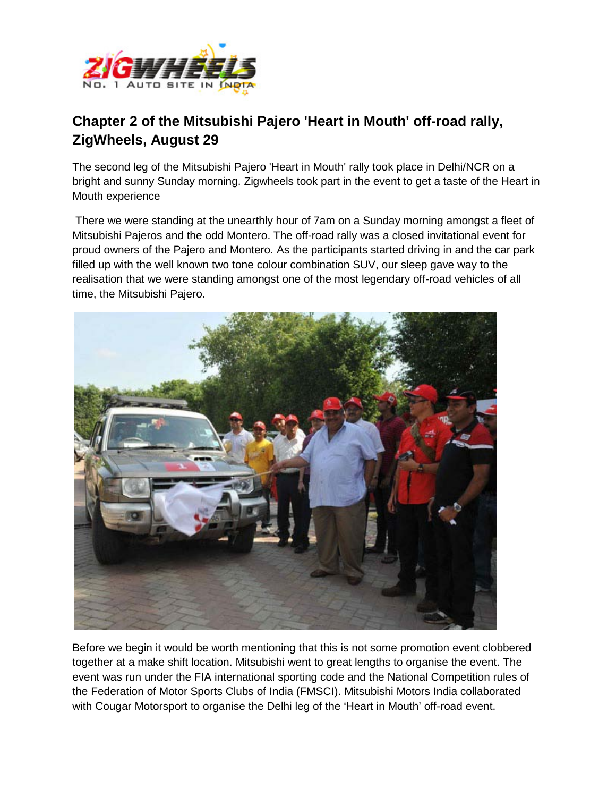

## **Chapter 2 of the Mitsubishi Pajero 'Heart in Mouth' off-road rally, ZigWheels, August 29**

The second leg of the Mitsubishi Pajero 'Heart in Mouth' rally took place in Delhi/NCR on a bright and sunny Sunday morning. Zigwheels took part in the event to get a taste of the Heart in Mouth experience

There we were standing at the unearthly hour of 7am on a Sunday morning amongst a fleet of Mitsubishi Pajeros and the odd Montero. The off-road rally was a closed invitational event for proud owners of the Pajero and Montero. As the participants started driving in and the car park filled up with the well known two tone colour combination SUV, our sleep gave way to the realisation that we were standing amongst one of the most legendary off-road vehicles of all time, the Mitsubishi Pajero.



Before we begin it would be worth mentioning that this is not some promotion event clobbered together at a make shift location. Mitsubishi went to great lengths to organise the event. The event was run under the FIA international sporting code and the National Competition rules of the Federation of Motor Sports Clubs of India (FMSCI). Mitsubishi Motors India collaborated with Cougar Motorsport to organise the Delhi leg of the 'Heart in Mouth' off-road event.